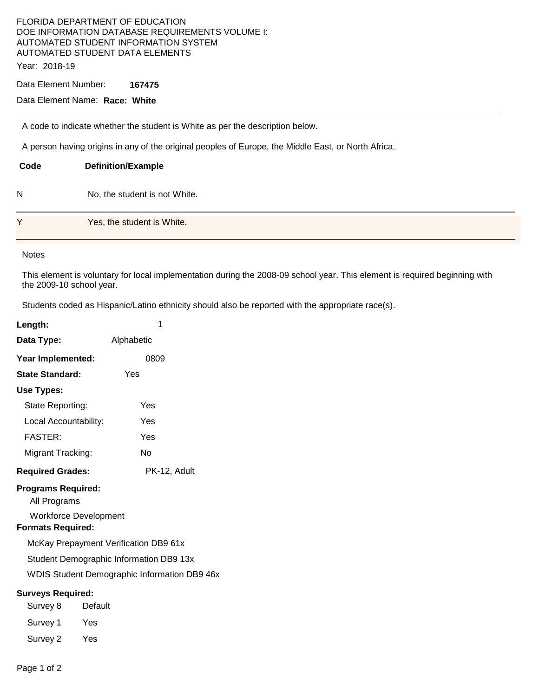### FLORIDA DEPARTMENT OF EDUCATION DOE INFORMATION DATABASE REQUIREMENTS VOLUME I: AUTOMATED STUDENT INFORMATION SYSTEM AUTOMATED STUDENT DATA ELEMENTS Year: 2018-19

### Data Element Number: **167475**

# Data Element Name: **Race: White**

A code to indicate whether the student is White as per the description below.

A person having origins in any of the original peoples of Europe, the Middle East, or North Africa.

| Code | <b>Definition/Example</b>     |
|------|-------------------------------|
| N    | No, the student is not White. |
| Y    | Yes, the student is White.    |

### **Notes**

This element is voluntary for local implementation during the 2008-09 school year. This element is required beginning with the 2009-10 school year.

Students coded as Hispanic/Latino ethnicity should also be reported with the appropriate race(s).

| Length:                                                                                 | 1            |  |  |  |  |
|-----------------------------------------------------------------------------------------|--------------|--|--|--|--|
| Data Type:                                                                              | Alphabetic   |  |  |  |  |
| Year Implemented:                                                                       | 0809         |  |  |  |  |
| <b>State Standard:</b>                                                                  | Yes          |  |  |  |  |
| Use Types:                                                                              |              |  |  |  |  |
| State Reporting:                                                                        | Yes          |  |  |  |  |
| Local Accountability:                                                                   | Yes          |  |  |  |  |
| <b>FASTER:</b>                                                                          | Yes          |  |  |  |  |
| Migrant Tracking:                                                                       | No           |  |  |  |  |
| <b>Required Grades:</b>                                                                 | PK-12, Adult |  |  |  |  |
| <b>Programs Required:</b><br>All Programs<br><b>Workforce Development</b>               |              |  |  |  |  |
| <b>Formats Required:</b><br>McKay Prepayment Verification DB9 61x                       |              |  |  |  |  |
| Student Demographic Information DB9 13x<br>WDIS Student Demographic Information DB9 46x |              |  |  |  |  |
| <b>Surveys Required:</b>                                                                |              |  |  |  |  |
| Survey 8                                                                                | Default      |  |  |  |  |
| Survey 1                                                                                | Yes          |  |  |  |  |
| Survey 2                                                                                | Yes          |  |  |  |  |